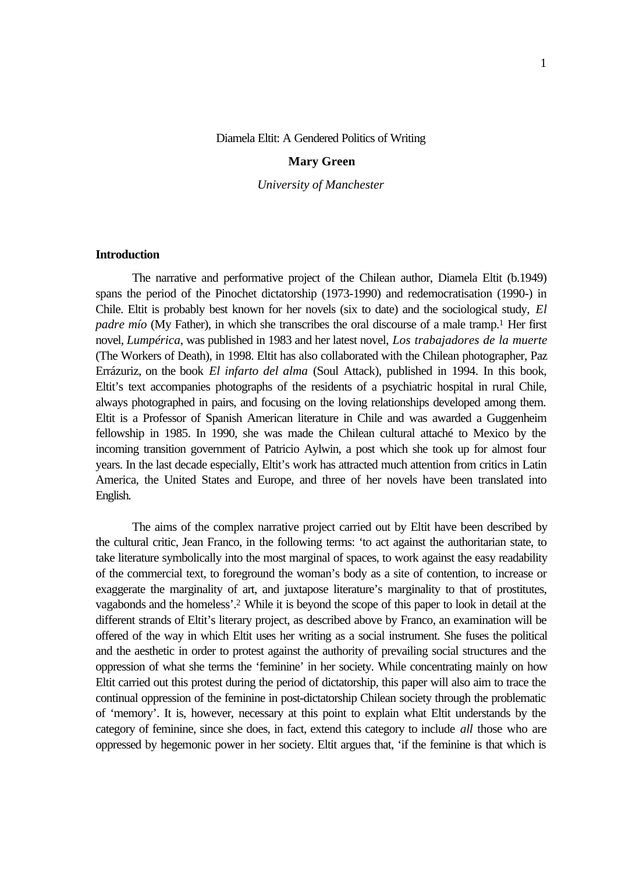#### Diamela Eltit: A Gendered Politics of Writing

# **Mary Green**

*University of Manchester*

### **Introduction**

The narrative and performative project of the Chilean author, Diamela Eltit (b.1949) spans the period of the Pinochet dictatorship (1973-1990) and redemocratisation (1990-) in Chile. Eltit is probably best known for her novels (six to date) and the sociological study, *El padre mío* (My Father), in which she transcribes the oral discourse of a male tramp.<sup>1</sup> Her first novel, *Lumpérica*, was published in 1983 and her latest novel, *Los trabajadores de la muerte* (The Workers of Death), in 1998. Eltit has also collaborated with the Chilean photographer, Paz Errázuriz, on the book *El infarto del alma* (Soul Attack), published in 1994. In this book, Eltit's text accompanies photographs of the residents of a psychiatric hospital in rural Chile, always photographed in pairs, and focusing on the loving relationships developed among them. Eltit is a Professor of Spanish American literature in Chile and was awarded a Guggenheim fellowship in 1985. In 1990, she was made the Chilean cultural attaché to Mexico by the incoming transition government of Patricio Aylwin, a post which she took up for almost four years. In the last decade especially, Eltit's work has attracted much attention from critics in Latin America, the United States and Europe, and three of her novels have been translated into English.

The aims of the complex narrative project carried out by Eltit have been described by the cultural critic, Jean Franco, in the following terms: 'to act against the authoritarian state, to take literature symbolically into the most marginal of spaces, to work against the easy readability of the commercial text, to foreground the woman's body as a site of contention, to increase or exaggerate the marginality of art, and juxtapose literature's marginality to that of prostitutes, vagabonds and the homeless'.2 While it is beyond the scope of this paper to look in detail at the different strands of Eltit's literary project, as described above by Franco, an examination will be offered of the way in which Eltit uses her writing as a social instrument. She fuses the political and the aesthetic in order to protest against the authority of prevailing social structures and the oppression of what she terms the 'feminine' in her society. While concentrating mainly on how Eltit carried out this protest during the period of dictatorship, this paper will also aim to trace the continual oppression of the feminine in post-dictatorship Chilean society through the problematic of 'memory'. It is, however, necessary at this point to explain what Eltit understands by the category of feminine, since she does, in fact, extend this category to include *all* those who are oppressed by hegemonic power in her society. Eltit argues that, 'if the feminine is that which is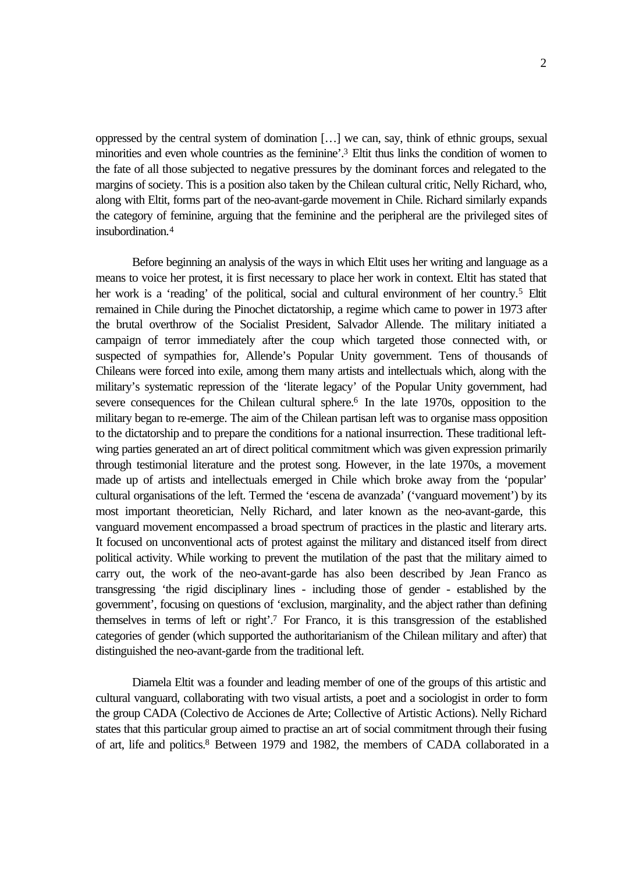oppressed by the central system of domination […] we can, say, think of ethnic groups, sexual minorities and even whole countries as the feminine'.3 Eltit thus links the condition of women to the fate of all those subjected to negative pressures by the dominant forces and relegated to the margins of society. This is a position also taken by the Chilean cultural critic, Nelly Richard, who, along with Eltit, forms part of the neo-avant-garde movement in Chile. Richard similarly expands the category of feminine, arguing that the feminine and the peripheral are the privileged sites of insubordination.<sup>4</sup>

Before beginning an analysis of the ways in which Eltit uses her writing and language as a means to voice her protest, it is first necessary to place her work in context. Eltit has stated that her work is a 'reading' of the political, social and cultural environment of her country.<sup>5</sup> Eltit remained in Chile during the Pinochet dictatorship, a regime which came to power in 1973 after the brutal overthrow of the Socialist President, Salvador Allende. The military initiated a campaign of terror immediately after the coup which targeted those connected with, or suspected of sympathies for, Allende's Popular Unity government. Tens of thousands of Chileans were forced into exile, among them many artists and intellectuals which, along with the military's systematic repression of the 'literate legacy' of the Popular Unity government, had severe consequences for the Chilean cultural sphere.<sup>6</sup> In the late 1970s, opposition to the military began to re-emerge. The aim of the Chilean partisan left was to organise mass opposition to the dictatorship and to prepare the conditions for a national insurrection. These traditional leftwing parties generated an art of direct political commitment which was given expression primarily through testimonial literature and the protest song. However, in the late 1970s, a movement made up of artists and intellectuals emerged in Chile which broke away from the 'popular' cultural organisations of the left. Termed the 'escena de avanzada' ('vanguard movement') by its most important theoretician, Nelly Richard, and later known as the neo-avant-garde, this vanguard movement encompassed a broad spectrum of practices in the plastic and literary arts. It focused on unconventional acts of protest against the military and distanced itself from direct political activity. While working to prevent the mutilation of the past that the military aimed to carry out, the work of the neo-avant-garde has also been described by Jean Franco as transgressing 'the rigid disciplinary lines - including those of gender - established by the government', focusing on questions of 'exclusion, marginality, and the abject rather than defining themselves in terms of left or right'.7 For Franco, it is this transgression of the established categories of gender (which supported the authoritarianism of the Chilean military and after) that distinguished the neo-avant-garde from the traditional left.

Diamela Eltit was a founder and leading member of one of the groups of this artistic and cultural vanguard, collaborating with two visual artists, a poet and a sociologist in order to form the group CADA (Colectivo de Acciones de Arte; Collective of Artistic Actions). Nelly Richard states that this particular group aimed to practise an art of social commitment through their fusing of art, life and politics.8 Between 1979 and 1982, the members of CADA collaborated in a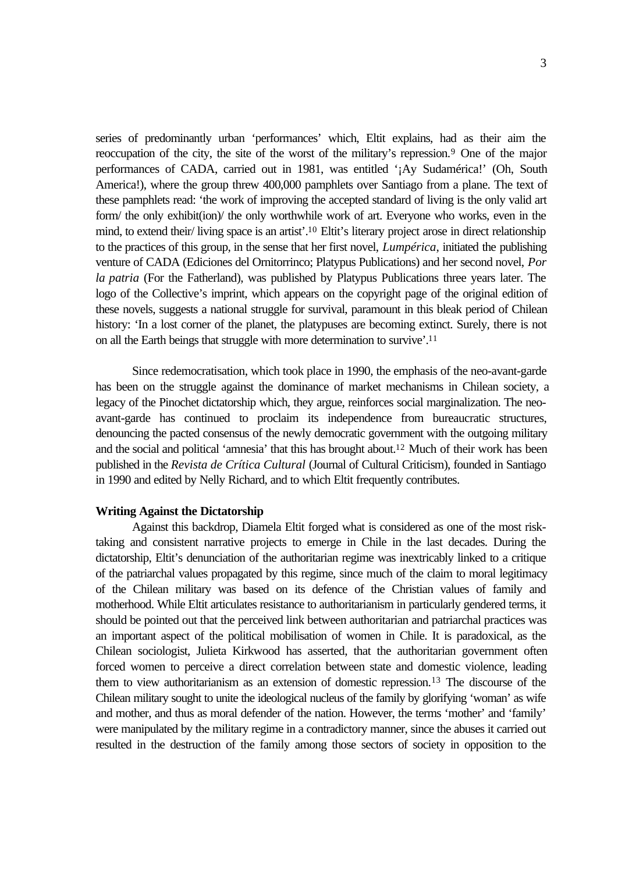series of predominantly urban 'performances' which, Eltit explains, had as their aim the reoccupation of the city, the site of the worst of the military's repression.9 One of the major performances of CADA, carried out in 1981, was entitled '¡Ay Sudamérica!' (Oh, South America!), where the group threw 400,000 pamphlets over Santiago from a plane. The text of these pamphlets read: 'the work of improving the accepted standard of living is the only valid art form/ the only exhibit(ion)/ the only worthwhile work of art. Everyone who works, even in the mind, to extend their/ living space is an artist'.10 Eltit's literary project arose in direct relationship to the practices of this group, in the sense that her first novel, *Lumpérica*, initiated the publishing venture of CADA (Ediciones del Ornitorrinco; Platypus Publications) and her second novel, *Por la patria* (For the Fatherland), was published by Platypus Publications three years later. The logo of the Collective's imprint, which appears on the copyright page of the original edition of these novels, suggests a national struggle for survival, paramount in this bleak period of Chilean history: 'In a lost corner of the planet, the platypuses are becoming extinct. Surely, there is not on all the Earth beings that struggle with more determination to survive'.<sup>11</sup>

Since redemocratisation, which took place in 1990, the emphasis of the neo-avant-garde has been on the struggle against the dominance of market mechanisms in Chilean society, a legacy of the Pinochet dictatorship which, they argue, reinforces social marginalization. The neoavant-garde has continued to proclaim its independence from bureaucratic structures, denouncing the pacted consensus of the newly democratic government with the outgoing military and the social and political 'amnesia' that this has brought about.12 Much of their work has been published in the *Revista de Crítica Cultural* (Journal of Cultural Criticism), founded in Santiago in 1990 and edited by Nelly Richard, and to which Eltit frequently contributes.

### **Writing Against the Dictatorship**

Against this backdrop, Diamela Eltit forged what is considered as one of the most risktaking and consistent narrative projects to emerge in Chile in the last decades. During the dictatorship, Eltit's denunciation of the authoritarian regime was inextricably linked to a critique of the patriarchal values propagated by this regime, since much of the claim to moral legitimacy of the Chilean military was based on its defence of the Christian values of family and motherhood. While Eltit articulates resistance to authoritarianism in particularly gendered terms, it should be pointed out that the perceived link between authoritarian and patriarchal practices was an important aspect of the political mobilisation of women in Chile. It is paradoxical, as the Chilean sociologist, Julieta Kirkwood has asserted, that the authoritarian government often forced women to perceive a direct correlation between state and domestic violence, leading them to view authoritarianism as an extension of domestic repression.13 The discourse of the Chilean military sought to unite the ideological nucleus of the family by glorifying 'woman' as wife and mother, and thus as moral defender of the nation. However, the terms 'mother' and 'family' were manipulated by the military regime in a contradictory manner, since the abuses it carried out resulted in the destruction of the family among those sectors of society in opposition to the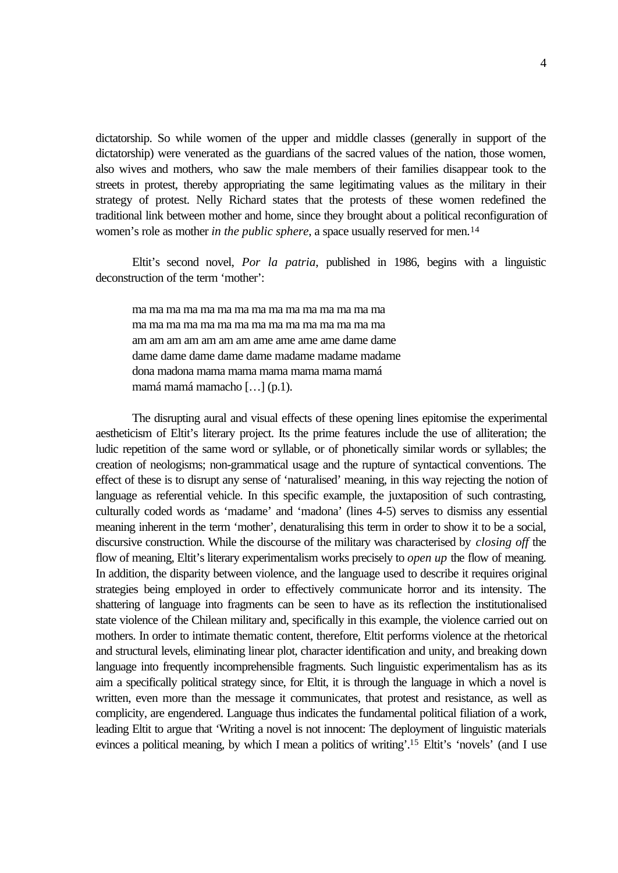dictatorship. So while women of the upper and middle classes (generally in support of the dictatorship) were venerated as the guardians of the sacred values of the nation, those women, also wives and mothers, who saw the male members of their families disappear took to the streets in protest, thereby appropriating the same legitimating values as the military in their strategy of protest. Nelly Richard states that the protests of these women redefined the traditional link between mother and home, since they brought about a political reconfiguration of women's role as mother *in the public sphere*, a space usually reserved for men.<sup>14</sup>

Eltit's second novel, *Por la patria*, published in 1986, begins with a linguistic deconstruction of the term 'mother':

ma ma ma ma ma ma ma ma ma ma ma ma ma ma ma ma ma ma ma ma ma ma ma ma ma ma ma ma ma ma am am am am am am am ame ame ame ame dame dame dame dame dame dame dame madame madame madame dona madona mama mama mama mama mama mamá mamá mamá mamacho […] (p.1).

The disrupting aural and visual effects of these opening lines epitomise the experimental aestheticism of Eltit's literary project. Its the prime features include the use of alliteration; the ludic repetition of the same word or syllable, or of phonetically similar words or syllables; the creation of neologisms; non-grammatical usage and the rupture of syntactical conventions. The effect of these is to disrupt any sense of 'naturalised' meaning, in this way rejecting the notion of language as referential vehicle. In this specific example, the juxtaposition of such contrasting, culturally coded words as 'madame' and 'madona' (lines 4-5) serves to dismiss any essential meaning inherent in the term 'mother', denaturalising this term in order to show it to be a social, discursive construction. While the discourse of the military was characterised by *closing off* the flow of meaning, Eltit's literary experimentalism works precisely to *open up* the flow of meaning. In addition, the disparity between violence, and the language used to describe it requires original strategies being employed in order to effectively communicate horror and its intensity. The shattering of language into fragments can be seen to have as its reflection the institutionalised state violence of the Chilean military and, specifically in this example, the violence carried out on mothers. In order to intimate thematic content, therefore, Eltit performs violence at the rhetorical and structural levels, eliminating linear plot, character identification and unity, and breaking down language into frequently incomprehensible fragments. Such linguistic experimentalism has as its aim a specifically political strategy since, for Eltit, it is through the language in which a novel is written, even more than the message it communicates, that protest and resistance, as well as complicity, are engendered. Language thus indicates the fundamental political filiation of a work, leading Eltit to argue that 'Writing a novel is not innocent: The deployment of linguistic materials evinces a political meaning, by which I mean a politics of writing'.15 Eltit's 'novels' (and I use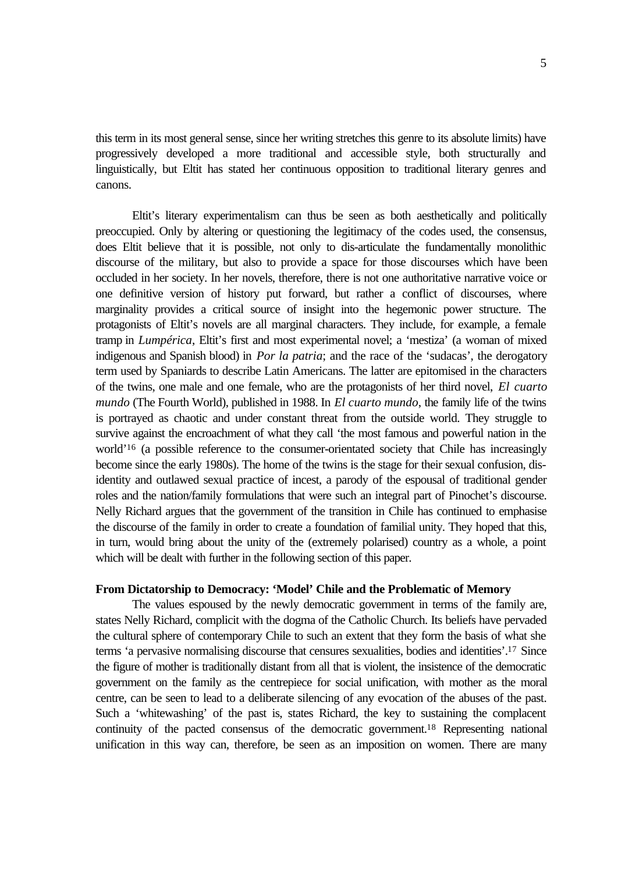this term in its most general sense, since her writing stretches this genre to its absolute limits) have progressively developed a more traditional and accessible style, both structurally and linguistically, but Eltit has stated her continuous opposition to traditional literary genres and canons.

Eltit's literary experimentalism can thus be seen as both aesthetically and politically preoccupied. Only by altering or questioning the legitimacy of the codes used, the consensus, does Eltit believe that it is possible, not only to dis-articulate the fundamentally monolithic discourse of the military, but also to provide a space for those discourses which have been occluded in her society. In her novels, therefore, there is not one authoritative narrative voice or one definitive version of history put forward, but rather a conflict of discourses, where marginality provides a critical source of insight into the hegemonic power structure. The protagonists of Eltit's novels are all marginal characters. They include, for example, a female tramp in *Lumpérica*, Eltit's first and most experimental novel; a 'mestiza' (a woman of mixed indigenous and Spanish blood) in *Por la patria*; and the race of the 'sudacas', the derogatory term used by Spaniards to describe Latin Americans. The latter are epitomised in the characters of the twins, one male and one female, who are the protagonists of her third novel, *El cuarto mundo* (The Fourth World), published in 1988. In *El cuarto mundo*, the family life of the twins is portrayed as chaotic and under constant threat from the outside world. They struggle to survive against the encroachment of what they call 'the most famous and powerful nation in the world'16 (a possible reference to the consumer-orientated society that Chile has increasingly become since the early 1980s). The home of the twins is the stage for their sexual confusion, disidentity and outlawed sexual practice of incest, a parody of the espousal of traditional gender roles and the nation/family formulations that were such an integral part of Pinochet's discourse. Nelly Richard argues that the government of the transition in Chile has continued to emphasise the discourse of the family in order to create a foundation of familial unity. They hoped that this, in turn, would bring about the unity of the (extremely polarised) country as a whole, a point which will be dealt with further in the following section of this paper.

# **From Dictatorship to Democracy: 'Model' Chile and the Problematic of Memory**

The values espoused by the newly democratic government in terms of the family are, states Nelly Richard, complicit with the dogma of the Catholic Church. Its beliefs have pervaded the cultural sphere of contemporary Chile to such an extent that they form the basis of what she terms 'a pervasive normalising discourse that censures sexualities, bodies and identities'.17 Since the figure of mother is traditionally distant from all that is violent, the insistence of the democratic government on the family as the centrepiece for social unification, with mother as the moral centre, can be seen to lead to a deliberate silencing of any evocation of the abuses of the past. Such a 'whitewashing' of the past is, states Richard, the key to sustaining the complacent continuity of the pacted consensus of the democratic government.18 Representing national unification in this way can, therefore, be seen as an imposition on women. There are many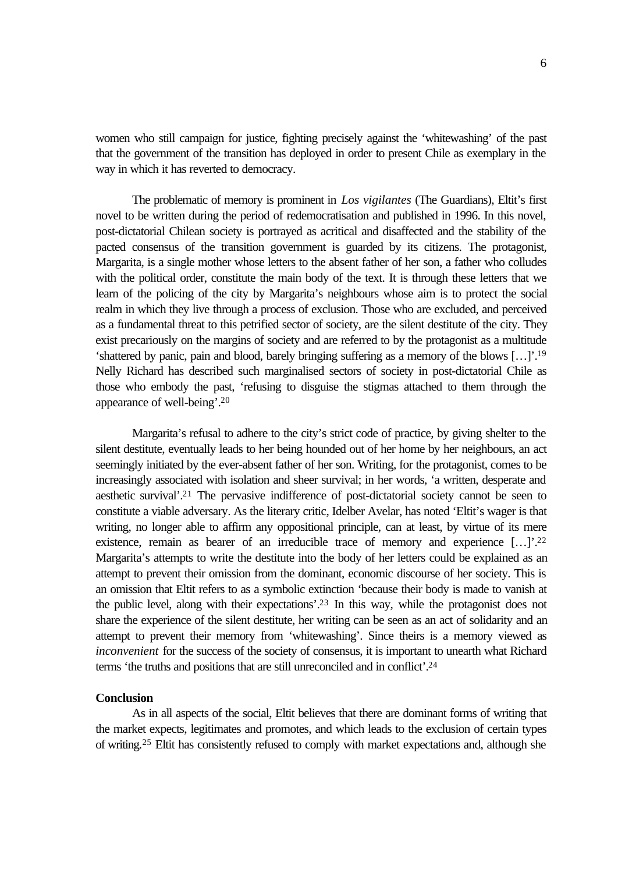women who still campaign for justice, fighting precisely against the 'whitewashing' of the past that the government of the transition has deployed in order to present Chile as exemplary in the way in which it has reverted to democracy.

The problematic of memory is prominent in *Los vigilantes* (The Guardians), Eltit's first novel to be written during the period of redemocratisation and published in 1996. In this novel, post-dictatorial Chilean society is portrayed as acritical and disaffected and the stability of the pacted consensus of the transition government is guarded by its citizens. The protagonist, Margarita, is a single mother whose letters to the absent father of her son, a father who colludes with the political order, constitute the main body of the text. It is through these letters that we learn of the policing of the city by Margarita's neighbours whose aim is to protect the social realm in which they live through a process of exclusion. Those who are excluded, and perceived as a fundamental threat to this petrified sector of society, are the silent destitute of the city. They exist precariously on the margins of society and are referred to by the protagonist as a multitude 'shattered by panic, pain and blood, barely bringing suffering as a memory of the blows […]'.<sup>19</sup> Nelly Richard has described such marginalised sectors of society in post-dictatorial Chile as those who embody the past, 'refusing to disguise the stigmas attached to them through the appearance of well-being'.<sup>20</sup>

Margarita's refusal to adhere to the city's strict code of practice, by giving shelter to the silent destitute, eventually leads to her being hounded out of her home by her neighbours, an act seemingly initiated by the ever-absent father of her son. Writing, for the protagonist, comes to be increasingly associated with isolation and sheer survival; in her words, 'a written, desperate and aesthetic survival'.21 The pervasive indifference of post-dictatorial society cannot be seen to constitute a viable adversary. As the literary critic, Idelber Avelar, has noted 'Eltit's wager is that writing, no longer able to affirm any oppositional principle, can at least, by virtue of its mere existence, remain as bearer of an irreducible trace of memory and experience [...]'.<sup>22</sup> Margarita's attempts to write the destitute into the body of her letters could be explained as an attempt to prevent their omission from the dominant, economic discourse of her society. This is an omission that Eltit refers to as a symbolic extinction 'because their body is made to vanish at the public level, along with their expectations'.23 In this way, while the protagonist does not share the experience of the silent destitute, her writing can be seen as an act of solidarity and an attempt to prevent their memory from 'whitewashing'. Since theirs is a memory viewed as *inconvenient* for the success of the society of consensus, it is important to unearth what Richard terms 'the truths and positions that are still unreconciled and in conflict'.<sup>24</sup>

### **Conclusion**

As in all aspects of the social, Eltit believes that there are dominant forms of writing that the market expects, legitimates and promotes, and which leads to the exclusion of certain types of writing.25 Eltit has consistently refused to comply with market expectations and, although she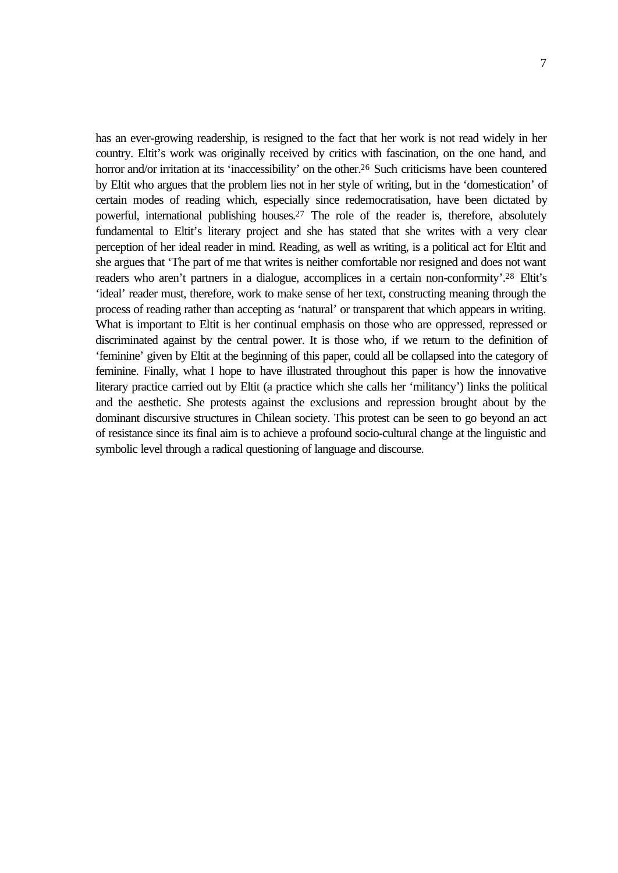has an ever-growing readership, is resigned to the fact that her work is not read widely in her country. Eltit's work was originally received by critics with fascination, on the one hand, and horror and/or irritation at its 'inaccessibility' on the other.<sup>26</sup> Such criticisms have been countered by Eltit who argues that the problem lies not in her style of writing, but in the 'domestication' of certain modes of reading which, especially since redemocratisation, have been dictated by powerful, international publishing houses.<sup>27</sup> The role of the reader is, therefore, absolutely fundamental to Eltit's literary project and she has stated that she writes with a very clear perception of her ideal reader in mind. Reading, as well as writing, is a political act for Eltit and she argues that 'The part of me that writes is neither comfortable nor resigned and does not want readers who aren't partners in a dialogue, accomplices in a certain non-conformity'.<sup>28</sup> Eltit's 'ideal' reader must, therefore, work to make sense of her text, constructing meaning through the process of reading rather than accepting as 'natural' or transparent that which appears in writing. What is important to Eltit is her continual emphasis on those who are oppressed, repressed or discriminated against by the central power. It is those who, if we return to the definition of 'feminine' given by Eltit at the beginning of this paper, could all be collapsed into the category of feminine. Finally, what I hope to have illustrated throughout this paper is how the innovative literary practice carried out by Eltit (a practice which she calls her 'militancy') links the political and the aesthetic. She protests against the exclusions and repression brought about by the dominant discursive structures in Chilean society. This protest can be seen to go beyond an act of resistance since its final aim is to achieve a profound socio-cultural change at the linguistic and symbolic level through a radical questioning of language and discourse.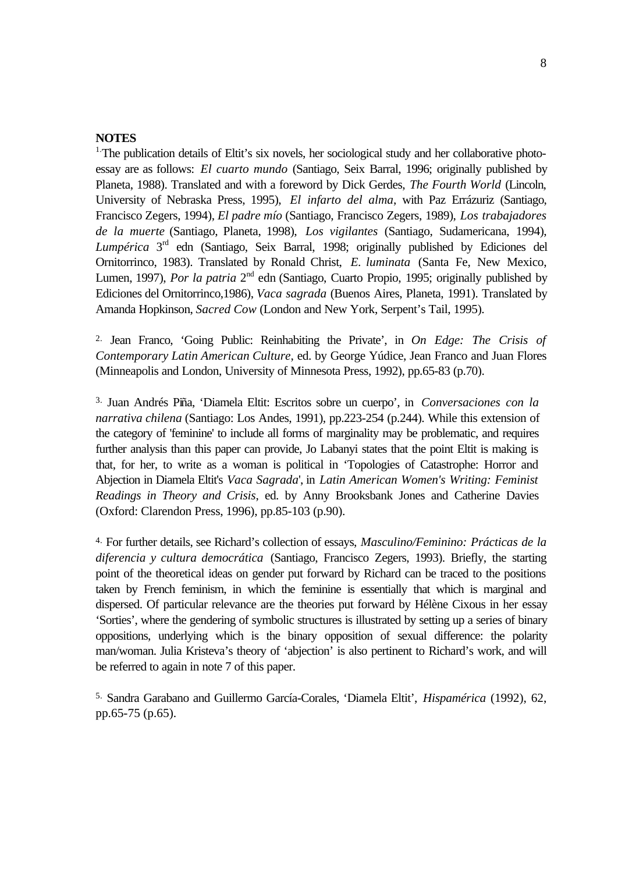# **NOTES**

<sup>1.</sup>The publication details of Eltit's six novels, her sociological study and her collaborative photoessay are as follows: *El cuarto mundo* (Santiago, Seix Barral, 1996; originally published by Planeta, 1988). Translated and with a foreword by Dick Gerdes, *The Fourth World* (Lincoln, University of Nebraska Press, 1995), *El infarto del alma*, with Paz Errázuriz (Santiago, Francisco Zegers, 1994), *El padre mío* (Santiago, Francisco Zegers, 1989), *Los trabajadores de la muerte* (Santiago, Planeta, 1998), *Los vigilantes* (Santiago, Sudamericana, 1994), Lumpérica 3<sup>rd</sup> edn (Santiago, Seix Barral, 1998; originally published by Ediciones del Ornitorrinco, 1983). Translated by Ronald Christ, *E. luminata* (Santa Fe, New Mexico, Lumen, 1997), *Por la patria* 2<sup>nd</sup> edn (Santiago, Cuarto Propio, 1995; originally published by Ediciones del Ornitorrinco,1986), *Vaca sagrada* (Buenos Aires, Planeta, 1991). Translated by Amanda Hopkinson, *Sacred Cow* (London and New York, Serpent's Tail, 1995).

2. Jean Franco, 'Going Public: Reinhabiting the Private', in *On Edge: The Crisis of Contemporary Latin American Culture*, ed. by George Yúdice, Jean Franco and Juan Flores (Minneapolis and London, University of Minnesota Press, 1992), pp.65-83 (p.70).

3. Juan Andrés Piña, 'Diamela Eltit: Escritos sobre un cuerpo', in *Conversaciones con la narrativa chilena* (Santiago: Los Andes, 1991), pp.223-254 (p.244). While this extension of the category of 'feminine' to include all forms of marginality may be problematic, and requires further analysis than this paper can provide, Jo Labanyi states that the point Eltit is making is that, for her, to write as a woman is political in 'Topologies of Catastrophe: Horror and Abjection in Diamela Eltit's *Vaca Sagrada*', in *Latin American Women's Writing: Feminist Readings in Theory and Crisis*, ed. by Anny Brooksbank Jones and Catherine Davies (Oxford: Clarendon Press, 1996), pp.85-103 (p.90).

4. For further details, see Richard's collection of essays, *Masculino/Feminino: Prácticas de la diferencia y cultura democrática* (Santiago, Francisco Zegers, 1993). Briefly, the starting point of the theoretical ideas on gender put forward by Richard can be traced to the positions taken by French feminism, in which the feminine is essentially that which is marginal and dispersed. Of particular relevance are the theories put forward by Hélène Cixous in her essay 'Sorties', where the gendering of symbolic structures is illustrated by setting up a series of binary oppositions, underlying which is the binary opposition of sexual difference: the polarity man/woman. Julia Kristeva's theory of 'abjection' is also pertinent to Richard's work, and will be referred to again in note 7 of this paper.

5. Sandra Garabano and Guillermo García-Corales, 'Diamela Eltit', *Hispamérica* (1992), 62, pp.65-75 (p.65).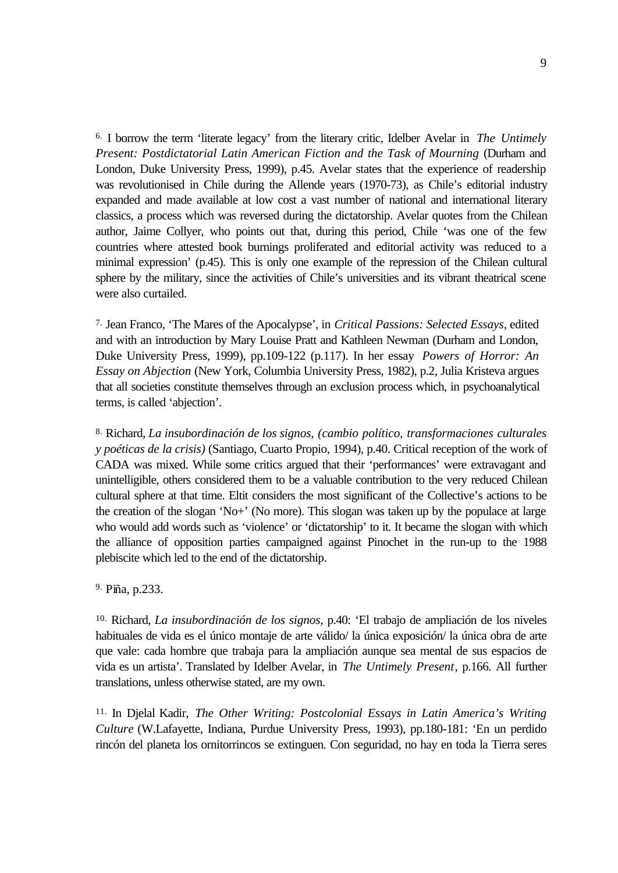6. I borrow the term 'literate legacy' from the literary critic, Idelber Avelar in *The Untimely Present: Postdictatorial Latin American Fiction and the Task of Mourning* (Durham and London, Duke University Press, 1999), p.45. Avelar states that the experience of readership was revolutionised in Chile during the Allende years (1970-73), as Chile's editorial industry expanded and made available at low cost a vast number of national and international literary classics, a process which was reversed during the dictatorship. Avelar quotes from the Chilean author, Jaime Collyer, who points out that, during this period, Chile 'was one of the few countries where attested book burnings proliferated and editorial activity was reduced to a minimal expression' (p.45). This is only one example of the repression of the Chilean cultural sphere by the military, since the activities of Chile's universities and its vibrant theatrical scene were also curtailed.

7. Jean Franco, 'The Mares of the Apocalypse', in *Critical Passions: Selected Essays*, edited and with an introduction by Mary Louise Pratt and Kathleen Newman (Durham and London, Duke University Press, 1999), pp.109-122 (p.117). In her essay *Powers of Horror: An Essay on Abjection* (New York, Columbia University Press, 1982), p.2, Julia Kristeva argues that all societies constitute themselves through an exclusion process which, in psychoanalytical terms, is called 'abjection'.

8. Richard, *La insubordinación de los signos*, *(cambio político, transformaciones culturales y poéticas de la crisis)* (Santiago, Cuarto Propio, 1994), p.40. Critical reception of the work of CADA was mixed. While some critics argued that their 'performances' were extravagant and unintelligible, others considered them to be a valuable contribution to the very reduced Chilean cultural sphere at that time. Eltit considers the most significant of the Collective's actions to be the creation of the slogan 'No+' (No more). This slogan was taken up by the populace at large who would add words such as 'violence' or 'dictatorship' to it. It became the slogan with which the alliance of opposition parties campaigned against Pinochet in the run-up to the 1988 plebiscite which led to the end of the dictatorship.

9. Piña, p.233.

10. Richard, *La insubordinación de los signos*, p.40: 'El trabajo de ampliación de los niveles habituales de vida es el único montaje de arte válido/ la única exposición/ la única obra de arte que vale: cada hombre que trabaja para la ampliación aunque sea mental de sus espacios de vida es un artista'. Translated by Idelber Avelar, in *The Untimely Present*, p.166. All further translations, unless otherwise stated, are my own.

11. In Djelal Kadir, *The Other Writing: Postcolonial Essays in Latin America's Writing Culture* (W.Lafayette, Indiana, Purdue University Press, 1993), pp.180-181: 'En un perdido rincón del planeta los ornitorrincos se extinguen. Con seguridad, no hay en toda la Tierra seres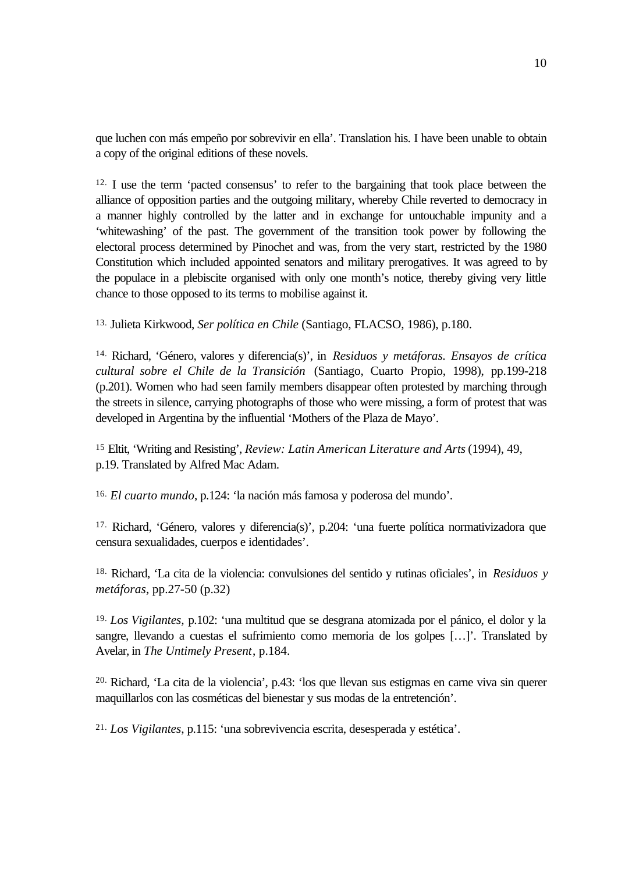que luchen con más empeño por sobrevivir en ella'. Translation his. I have been unable to obtain a copy of the original editions of these novels.

12. I use the term 'pacted consensus' to refer to the bargaining that took place between the alliance of opposition parties and the outgoing military, whereby Chile reverted to democracy in a manner highly controlled by the latter and in exchange for untouchable impunity and a 'whitewashing' of the past. The government of the transition took power by following the electoral process determined by Pinochet and was, from the very start, restricted by the 1980 Constitution which included appointed senators and military prerogatives. It was agreed to by the populace in a plebiscite organised with only one month's notice, thereby giving very little chance to those opposed to its terms to mobilise against it.

13. Julieta Kirkwood, *Ser política en Chile* (Santiago, FLACSO, 1986), p.180.

14. Richard, 'Género, valores y diferencia(s)', in *Residuos y metáforas. Ensayos de crítica cultural sobre el Chile de la Transición* (Santiago, Cuarto Propio, 1998), pp.199-218 (p.201). Women who had seen family members disappear often protested by marching through the streets in silence, carrying photographs of those who were missing, a form of protest that was developed in Argentina by the influential 'Mothers of the Plaza de Mayo'.

<sup>15</sup> Eltit, 'Writing and Resisting', *Review: Latin American Literature and Arts* (1994), 49, p.19. Translated by Alfred Mac Adam.

16. *El cuarto mundo*, p.124: 'la nación más famosa y poderosa del mundo'.

17. Richard, 'Género, valores y diferencia(s)', p.204: 'una fuerte política normativizadora que censura sexualidades, cuerpos e identidades'.

18. Richard, 'La cita de la violencia: convulsiones del sentido y rutinas oficiales', in *Residuos y metáforas*, pp.27-50 (p.32)

19. *Los Vigilantes,* p.102: 'una multitud que se desgrana atomizada por el pánico, el dolor y la sangre, llevando a cuestas el sufrimiento como memoria de los golpes […]'. Translated by Avelar, in *The Untimely Present*, p.184.

20. Richard, 'La cita de la violencia', p.43: 'los que llevan sus estigmas en carne viva sin querer maquillarlos con las cosméticas del bienestar y sus modas de la entretención'.

21. *Los Vigilantes*, p.115: 'una sobrevivencia escrita, desesperada y estética'.